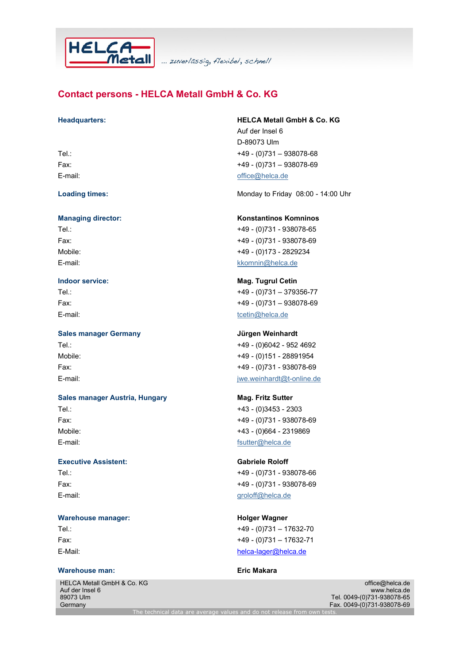

... zuverlässig, flexibel, schnell

# Contact persons - HELCA Metall GmbH & Co. KG

### Sales manager Germany and Sales manager Germany

## Sales manager Austria, Hungary Mag. Fritz Sutter Tel.: +43 - (0)3453 - 2303 Fax: +49 - (0)731 - 938078-69 Mobile: +43 - (0)664 - 2319869 E-mail: for the contract of the contract of the fact of the fact of the fact of the fact of the fact of the fact of the fact of the fact of the fact of the fact of the fact of the fact of the fact of the fact of the fact o

Executive Assistent: Gabriele Roloff Tel.: +49 - (0)731 - 938078-66 Fax: +49 - (0)731 - 938078-69 E-mail: groloff@helca.de

### Warehouse manager: Warehouse manager: New York Holger Wagner

### Warehouse man: Eric Makara

HELCA Metall GmbH & Co. KG Auf der Insel 6 89073 Ulm **Germany** 

### Headquarters: HELCA Metall GmbH & Co. KG

Auf der Insel 6 D-89073 Ulm Tel.: +49 - (0)731 – 938078-68 Fax: +49 - (0)731 – 938078-69 E-mail: example and the contract of the contract of fice @helca.de

Loading times: Contract Monday to Friday 08:00 - 14:00 Uhr

### Managing director: Konstantinos Komninos

Tel.: +49 - (0)731 - 938078-65 Fax: +49 - (0)731 - 938078-69 Mobile: +49 - (0)173 - 2829234 E-mail: kkomnin@helca.de

### **Indoor service:** Mag. Tugrul Cetin Tel.: +49 - (0)731 – 379356-77

Fax: +49 - (0)731 – 938078-69 E-mail: tcetin@helca.de

# Tel.: +49 - (0)6042 - 952 4692

Mobile: +49 - (0)151 - 28891954 Fax: +49 - (0)731 - 938078-69 E-mail: jwe.weinhardt@t-online.de

# Tel.: +49 - (0)731 – 17632-70 Fax: +49 - (0)731 – 17632-71 E-Mail: helca-lager@helca.de

office@helca.de www.helca.de Tel. 0049-(0)731-938078-65 Fax. 0049-(0)731-938078-69

The technical data are average values and do not release from own t